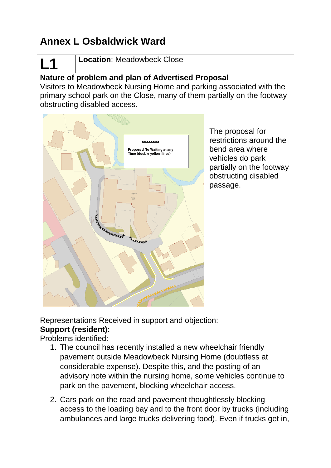# **Annex L Osbaldwick Ward**

# **L1**

**Location**: Meadowbeck Close

## **Nature of problem and plan of Advertised Proposal**

Visitors to Meadowbeck Nursing Home and parking associated with the primary school park on the Close, many of them partially on the footway obstructing disabled access.



The proposal for restrictions around the bend area where vehicles do park partially on the footway obstructing disabled passage.

Representations Received in support and objection: **Support (resident):**

Problems identified:

- 1. The council has recently installed a new wheelchair friendly pavement outside Meadowbeck Nursing Home (doubtless at considerable expense). Despite this, and the posting of an advisory note within the nursing home, some vehicles continue to park on the pavement, blocking wheelchair access.
- 2. Cars park on the road and pavement thoughtlessly blocking access to the loading bay and to the front door by trucks (including ambulances and large trucks delivering food). Even if trucks get in,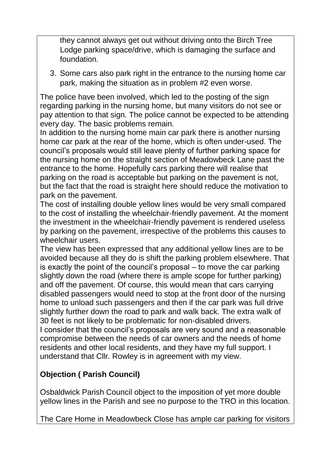they cannot always get out without driving onto the Birch Tree Lodge parking space/drive, which is damaging the surface and foundation.

3. Some cars also park right in the entrance to the nursing home car park, making the situation as in problem #2 even worse.

The police have been involved, which led to the posting of the sign regarding parking in the nursing home, but many visitors do not see or pay attention to that sign. The police cannot be expected to be attending every day. The basic problems remain.

In addition to the nursing home main car park there is another nursing home car park at the rear of the home, which is often under-used. The council's proposals would still leave plenty of further parking space for the nursing home on the straight section of Meadowbeck Lane past the entrance to the home. Hopefully cars parking there will realise that parking on the road is acceptable but parking on the pavement is not, but the fact that the road is straight here should reduce the motivation to park on the pavement.

The cost of installing double yellow lines would be very small compared to the cost of installing the wheelchair-friendly pavement. At the moment the investment in the wheelchair-friendly pavement is rendered useless by parking on the pavement, irrespective of the problems this causes to wheelchair users.

The view has been expressed that any additional yellow lines are to be avoided because all they do is shift the parking problem elsewhere. That is exactly the point of the council's proposal – to move the car parking slightly down the road (where there is ample scope for further parking) and off the pavement. Of course, this would mean that cars carrying disabled passengers would need to stop at the front door of the nursing home to unload such passengers and then if the car park was full drive slightly further down the road to park and walk back. The extra walk of 30 feet is not likely to be problematic for non-disabled drivers.

I consider that the council's proposals are very sound and a reasonable compromise between the needs of car owners and the needs of home residents and other local residents, and they have my full support. I understand that Cllr. Rowley is in agreement with my view.

### **Objection ( Parish Council)**

Osbaldwick Parish Council object to the imposition of yet more double yellow lines in the Parish and see no purpose to the TRO in this location.

The Care Home in Meadowbeck Close has ample car parking for visitors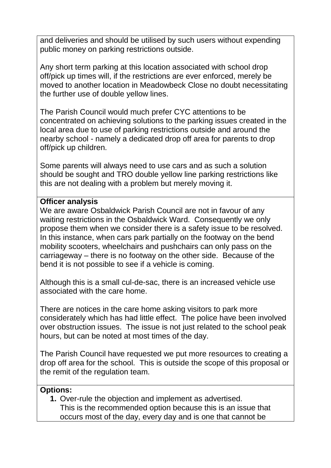and deliveries and should be utilised by such users without expending public money on parking restrictions outside.

Any short term parking at this location associated with school drop off/pick up times will, if the restrictions are ever enforced, merely be moved to another location in Meadowbeck Close no doubt necessitating the further use of double yellow lines.

The Parish Council would much prefer CYC attentions to be concentrated on achieving solutions to the parking issues created in the local area due to use of parking restrictions outside and around the nearby school - namely a dedicated drop off area for parents to drop off/pick up children.

Some parents will always need to use cars and as such a solution should be sought and TRO double yellow line parking restrictions like this are not dealing with a problem but merely moving it.

#### **Officer analysis**

We are aware Osbaldwick Parish Council are not in favour of any waiting restrictions in the Osbaldwick Ward. Consequently we only propose them when we consider there is a safety issue to be resolved. In this instance, when cars park partially on the footway on the bend mobility scooters, wheelchairs and pushchairs can only pass on the carriageway – there is no footway on the other side. Because of the bend it is not possible to see if a vehicle is coming.

Although this is a small cul-de-sac, there is an increased vehicle use associated with the care home.

There are notices in the care home asking visitors to park more considerately which has had little effect. The police have been involved over obstruction issues. The issue is not just related to the school peak hours, but can be noted at most times of the day.

The Parish Council have requested we put more resources to creating a drop off area for the school. This is outside the scope of this proposal or the remit of the regulation team.

#### **Options:**

**1.** Over-rule the objection and implement as advertised. This is the recommended option because this is an issue that occurs most of the day, every day and is one that cannot be